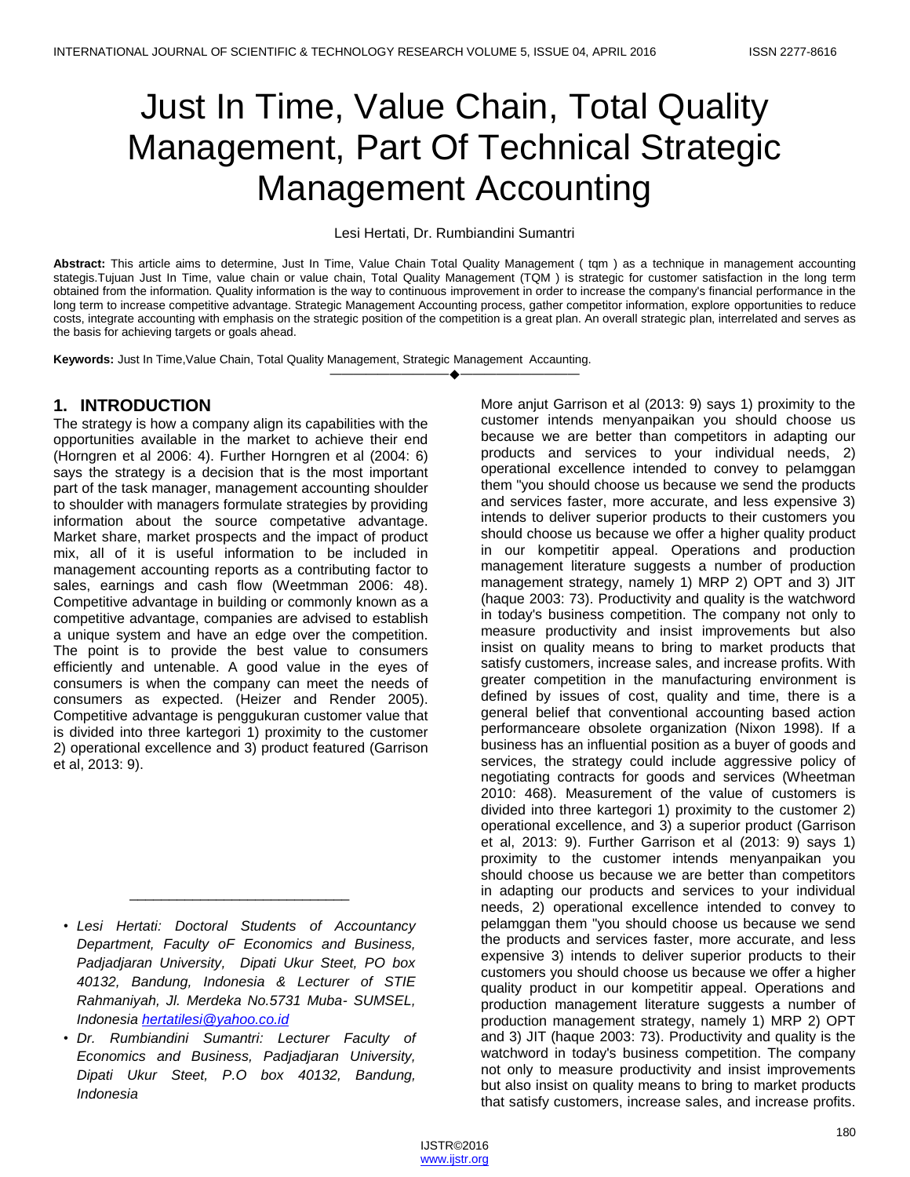# Just In Time, Value Chain, Total Quality Management, Part Of Technical Strategic Management Accounting

#### Lesi Hertati, Dr. Rumbiandini Sumantri

**Abstract:** This article aims to determine, Just In Time, Value Chain Total Quality Management ( tqm ) as a technique in management accounting stategis.Tujuan Just In Time, value chain or value chain, Total Quality Management (TQM) is strategic for customer satisfaction in the long term obtained from the information. Quality information is the way to continuous improvement in order to increase the company's financial performance in the long term to increase competitive advantage. Strategic Management Accounting process, gather competitor information, explore opportunities to reduce costs, integrate accounting with emphasis on the strategic position of the competition is a great plan. An overall strategic plan, interrelated and serves as the basis for achieving targets or goals ahead.

————————————————————

**Keywords:** Just In Time,Value Chain, Total Quality Management, Strategic Management Accaunting.

# **1. INTRODUCTION**

The strategy is how a company align its capabilities with the opportunities available in the market to achieve their end (Horngren et al 2006: 4). Further Horngren et al (2004: 6) says the strategy is a decision that is the most important part of the task manager, management accounting shoulder to shoulder with managers formulate strategies by providing information about the source competative advantage. Market share, market prospects and the impact of product mix, all of it is useful information to be included in management accounting reports as a contributing factor to sales, earnings and cash flow (Weetmman 2006: 48). Competitive advantage in building or commonly known as a competitive advantage, companies are advised to establish a unique system and have an edge over the competition. The point is to provide the best value to consumers efficiently and untenable. A good value in the eyes of consumers is when the company can meet the needs of consumers as expected. (Heizer and Render 2005). Competitive advantage is penggukuran customer value that is divided into three kartegori 1) proximity to the customer 2) operational excellence and 3) product featured (Garrison et al, 2013: 9).

\_\_\_\_\_\_\_\_\_\_\_\_\_\_\_\_\_\_\_\_\_\_\_\_\_\_\_\_

More anjut Garrison et al (2013: 9) says 1) proximity to the customer intends menyanpaikan you should choose us because we are better than competitors in adapting our products and services to your individual needs, 2) operational excellence intended to convey to pelamggan them "you should choose us because we send the products and services faster, more accurate, and less expensive 3) intends to deliver superior products to their customers you should choose us because we offer a higher quality product in our kompetitir appeal. Operations and production management literature suggests a number of production management strategy, namely 1) MRP 2) OPT and 3) JIT (haque 2003: 73). Productivity and quality is the watchword in today's business competition. The company not only to measure productivity and insist improvements but also insist on quality means to bring to market products that satisfy customers, increase sales, and increase profits. With greater competition in the manufacturing environment is defined by issues of cost, quality and time, there is a general belief that conventional accounting based action performanceare obsolete organization (Nixon 1998). If a business has an influential position as a buyer of goods and services, the strategy could include aggressive policy of negotiating contracts for goods and services (Wheetman 2010: 468). Measurement of the value of customers is divided into three kartegori 1) proximity to the customer 2) operational excellence, and 3) a superior product (Garrison et al, 2013: 9). Further Garrison et al (2013: 9) says 1) proximity to the customer intends menyanpaikan you should choose us because we are better than competitors in adapting our products and services to your individual needs, 2) operational excellence intended to convey to pelamggan them "you should choose us because we send the products and services faster, more accurate, and less expensive 3) intends to deliver superior products to their customers you should choose us because we offer a higher quality product in our kompetitir appeal. Operations and production management literature suggests a number of production management strategy, namely 1) MRP 2) OPT and 3) JIT (haque 2003: 73). Productivity and quality is the watchword in today's business competition. The company not only to measure productivity and insist improvements but also insist on quality means to bring to market products that satisfy customers, increase sales, and increase profits.

<sup>•</sup> *Lesi Hertati: Doctoral Students of Accountancy Department, Faculty oF Economics and Business, Padjadjaran University, Dipati Ukur Steet, PO box 40132, Bandung, Indonesia & Lecturer of STIE Rahmaniyah, Jl. Merdeka No.5731 Muba- SUMSEL, Indonesia hertatilesi@yahoo.co.id*

<sup>•</sup> *Dr. Rumbiandini Sumantri: Lecturer Faculty of Economics and Business, Padjadjaran University, Dipati Ukur Steet, P.O box 40132, Bandung, Indonesia*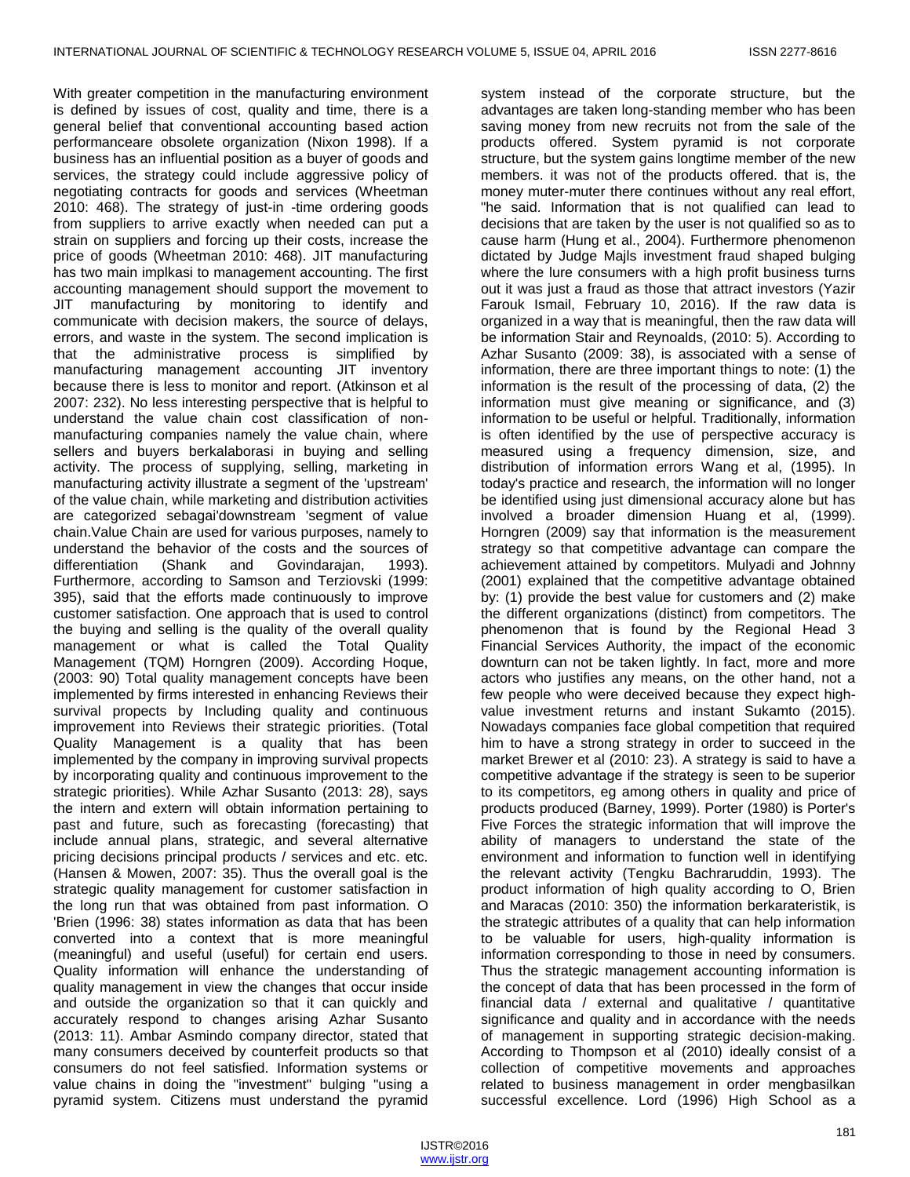With greater competition in the manufacturing environment is defined by issues of cost, quality and time, there is a general belief that conventional accounting based action performanceare obsolete organization (Nixon 1998). If a business has an influential position as a buyer of goods and services, the strategy could include aggressive policy of negotiating contracts for goods and services (Wheetman 2010: 468). The strategy of just-in -time ordering goods from suppliers to arrive exactly when needed can put a strain on suppliers and forcing up their costs, increase the price of goods (Wheetman 2010: 468). JIT manufacturing has two main implkasi to management accounting. The first accounting management should support the movement to JIT manufacturing by monitoring to identify and communicate with decision makers, the source of delays, errors, and waste in the system. The second implication is that the administrative process is simplified by manufacturing management accounting JIT inventory because there is less to monitor and report. (Atkinson et al 2007: 232). No less interesting perspective that is helpful to understand the value chain cost classification of nonmanufacturing companies namely the value chain, where sellers and buyers berkalaborasi in buying and selling activity. The process of supplying, selling, marketing in manufacturing activity illustrate a segment of the 'upstream' of the value chain, while marketing and distribution activities are categorized sebagai'downstream 'segment of value chain.Value Chain are used for various purposes, namely to understand the behavior of the costs and the sources of differentiation (Shank and Govindarajan, 1993). Furthermore, according to Samson and Terziovski (1999: 395), said that the efforts made continuously to improve customer satisfaction. One approach that is used to control the buying and selling is the quality of the overall quality management or what is called the Total Quality Management (TQM) Horngren (2009). According Hoque, (2003: 90) Total quality management concepts have been implemented by firms interested in enhancing Reviews their survival propects by Including quality and continuous improvement into Reviews their strategic priorities. (Total Quality Management is a quality that has been implemented by the company in improving survival propects by incorporating quality and continuous improvement to the strategic priorities). While Azhar Susanto (2013: 28), says the intern and extern will obtain information pertaining to past and future, such as forecasting (forecasting) that include annual plans, strategic, and several alternative pricing decisions principal products / services and etc. etc. (Hansen & Mowen, 2007: 35). Thus the overall goal is the strategic quality management for customer satisfaction in the long run that was obtained from past information. O 'Brien (1996: 38) states information as data that has been converted into a context that is more meaningful (meaningful) and useful (useful) for certain end users. Quality information will enhance the understanding of quality management in view the changes that occur inside and outside the organization so that it can quickly and accurately respond to changes arising Azhar Susanto (2013: 11). Ambar Asmindo company director, stated that many consumers deceived by counterfeit products so that consumers do not feel satisfied. Information systems or value chains in doing the "investment" bulging "using a pyramid system. Citizens must understand the pyramid

system instead of the corporate structure, but the advantages are taken long-standing member who has been saving money from new recruits not from the sale of the products offered. System pyramid is not corporate structure, but the system gains longtime member of the new members. it was not of the products offered. that is, the money muter-muter there continues without any real effort, "he said. Information that is not qualified can lead to decisions that are taken by the user is not qualified so as to cause harm (Hung et al., 2004). Furthermore phenomenon dictated by Judge Majls investment fraud shaped bulging where the lure consumers with a high profit business turns out it was just a fraud as those that attract investors (Yazir Farouk Ismail, February 10, 2016). If the raw data is organized in a way that is meaningful, then the raw data will be information Stair and Reynoalds, (2010: 5). According to Azhar Susanto (2009: 38), is associated with a sense of information, there are three important things to note: (1) the information is the result of the processing of data, (2) the information must give meaning or significance, and (3) information to be useful or helpful. Traditionally, information is often identified by the use of perspective accuracy is measured using a frequency dimension, size, and distribution of information errors Wang et al, (1995). In today's practice and research, the information will no longer be identified using just dimensional accuracy alone but has involved a broader dimension Huang et al, (1999). Horngren (2009) say that information is the measurement strategy so that competitive advantage can compare the achievement attained by competitors. Mulyadi and Johnny (2001) explained that the competitive advantage obtained by: (1) provide the best value for customers and (2) make the different organizations (distinct) from competitors. The phenomenon that is found by the Regional Head 3 Financial Services Authority, the impact of the economic downturn can not be taken lightly. In fact, more and more actors who justifies any means, on the other hand, not a few people who were deceived because they expect highvalue investment returns and instant Sukamto (2015). Nowadays companies face global competition that required him to have a strong strategy in order to succeed in the market Brewer et al (2010: 23). A strategy is said to have a competitive advantage if the strategy is seen to be superior to its competitors, eg among others in quality and price of products produced (Barney, 1999). Porter (1980) is Porter's Five Forces the strategic information that will improve the ability of managers to understand the state of the environment and information to function well in identifying the relevant activity (Tengku Bachraruddin, 1993). The product information of high quality according to O, Brien and Maracas (2010: 350) the information berkarateristik, is the strategic attributes of a quality that can help information to be valuable for users, high-quality information is information corresponding to those in need by consumers. Thus the strategic management accounting information is the concept of data that has been processed in the form of financial data / external and qualitative / quantitative significance and quality and in accordance with the needs of management in supporting strategic decision-making. According to Thompson et al (2010) ideally consist of a collection of competitive movements and approaches related to business management in order mengbasilkan successful excellence. Lord (1996) High School as a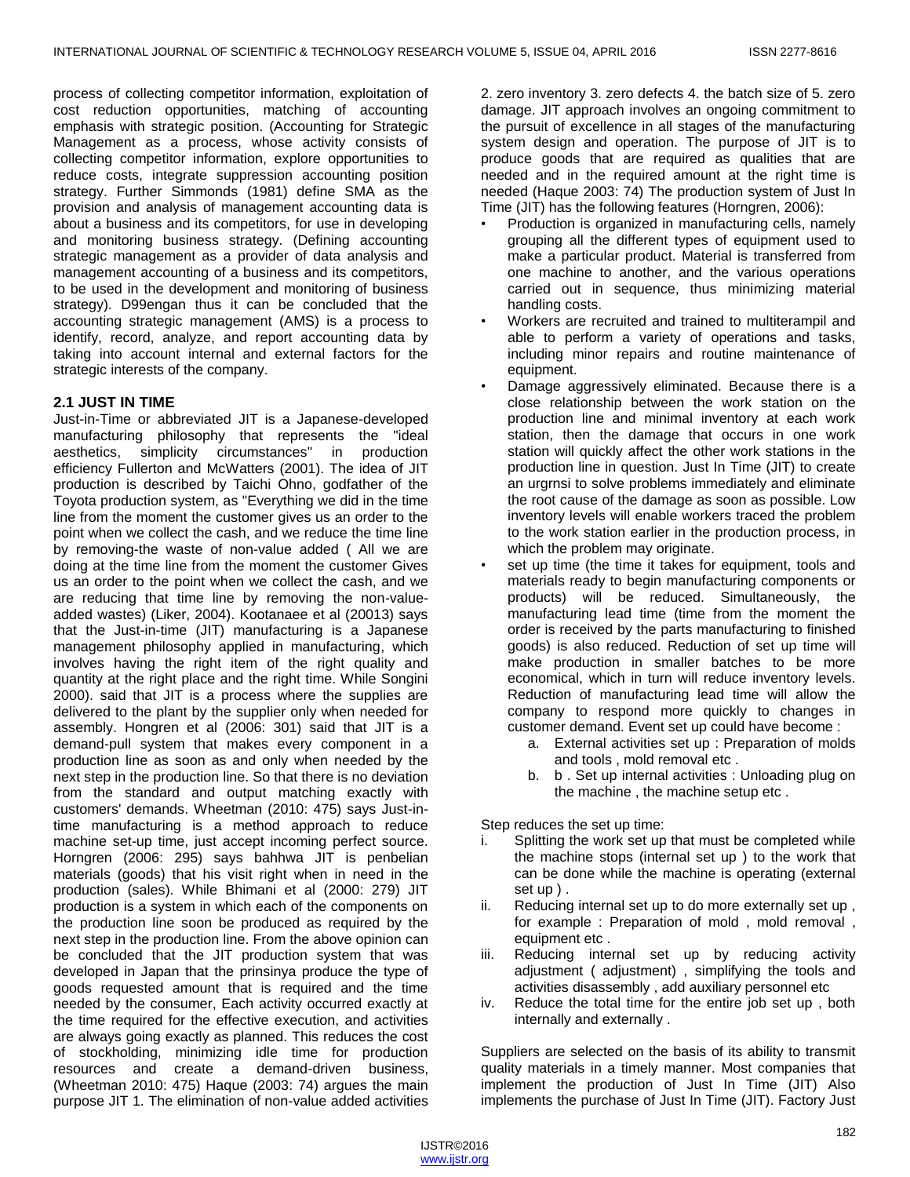process of collecting competitor information, exploitation of cost reduction opportunities, matching of accounting emphasis with strategic position. (Accounting for Strategic Management as a process, whose activity consists of collecting competitor information, explore opportunities to reduce costs, integrate suppression accounting position strategy. Further Simmonds (1981) define SMA as the provision and analysis of management accounting data is about a business and its competitors, for use in developing and monitoring business strategy. (Defining accounting strategic management as a provider of data analysis and management accounting of a business and its competitors, to be used in the development and monitoring of business strategy). D99engan thus it can be concluded that the accounting strategic management (AMS) is a process to identify, record, analyze, and report accounting data by taking into account internal and external factors for the strategic interests of the company.

#### **2.1 JUST IN TIME**

Just-in-Time or abbreviated JIT is a Japanese-developed manufacturing philosophy that represents the "ideal aesthetics, simplicity circumstances" in production efficiency Fullerton and McWatters (2001). The idea of JIT production is described by Taichi Ohno, godfather of the Toyota production system, as "Everything we did in the time line from the moment the customer gives us an order to the point when we collect the cash, and we reduce the time line by removing-the waste of non-value added ( All we are doing at the time line from the moment the customer Gives us an order to the point when we collect the cash, and we are reducing that time line by removing the non-valueadded wastes) (Liker, 2004). Kootanaee et al (20013) says that the Just-in-time (JIT) manufacturing is a Japanese management philosophy applied in manufacturing, which involves having the right item of the right quality and quantity at the right place and the right time. While Songini 2000). said that JIT is a process where the supplies are delivered to the plant by the supplier only when needed for assembly. Hongren et al (2006: 301) said that JIT is a demand-pull system that makes every component in a production line as soon as and only when needed by the next step in the production line. So that there is no deviation from the standard and output matching exactly with customers' demands. Wheetman (2010: 475) says Just-intime manufacturing is a method approach to reduce machine set-up time, just accept incoming perfect source. Horngren (2006: 295) says bahhwa JIT is penbelian materials (goods) that his visit right when in need in the production (sales). While Bhimani et al (2000: 279) JIT production is a system in which each of the components on the production line soon be produced as required by the next step in the production line. From the above opinion can be concluded that the JIT production system that was developed in Japan that the prinsinya produce the type of goods requested amount that is required and the time needed by the consumer, Each activity occurred exactly at the time required for the effective execution, and activities are always going exactly as planned. This reduces the cost of stockholding, minimizing idle time for production resources and create a demand-driven business, (Wheetman 2010: 475) Haque (2003: 74) argues the main purpose JIT 1. The elimination of non-value added activities

2. zero inventory 3. zero defects 4. the batch size of 5. zero damage. JIT approach involves an ongoing commitment to the pursuit of excellence in all stages of the manufacturing system design and operation. The purpose of JIT is to produce goods that are required as qualities that are needed and in the required amount at the right time is needed (Haque 2003: 74) The production system of Just In Time (JIT) has the following features (Horngren, 2006):

- Production is organized in manufacturing cells, namely grouping all the different types of equipment used to make a particular product. Material is transferred from one machine to another, and the various operations carried out in sequence, thus minimizing material handling costs.
- Workers are recruited and trained to multiterampil and able to perform a variety of operations and tasks, including minor repairs and routine maintenance of equipment.
- Damage aggressively eliminated. Because there is a close relationship between the work station on the production line and minimal inventory at each work station, then the damage that occurs in one work station will quickly affect the other work stations in the production line in question. Just In Time (JIT) to create an urgrnsi to solve problems immediately and eliminate the root cause of the damage as soon as possible. Low inventory levels will enable workers traced the problem to the work station earlier in the production process, in which the problem may originate.
- set up time (the time it takes for equipment, tools and materials ready to begin manufacturing components or products) will be reduced. Simultaneously, the manufacturing lead time (time from the moment the order is received by the parts manufacturing to finished goods) is also reduced. Reduction of set up time will make production in smaller batches to be more economical, which in turn will reduce inventory levels. Reduction of manufacturing lead time will allow the company to respond more quickly to changes in customer demand. Event set up could have become :
	- a. External activities set up : Preparation of molds and tools , mold removal etc .
	- b. b . Set up internal activities : Unloading plug on the machine , the machine setup etc .

Step reduces the set up time:

- i. Splitting the work set up that must be completed while the machine stops (internal set up ) to the work that can be done while the machine is operating (external set up ) .
- Reducing internal set up to do more externally set up, for example : Preparation of mold , mold removal , equipment etc .
- iii. Reducing internal set up by reducing activity adjustment ( adjustment) , simplifying the tools and activities disassembly , add auxiliary personnel etc
- iv. Reduce the total time for the entire job set up , both internally and externally .

Suppliers are selected on the basis of its ability to transmit quality materials in a timely manner. Most companies that implement the production of Just In Time (JIT) Also implements the purchase of Just In Time (JIT). Factory Just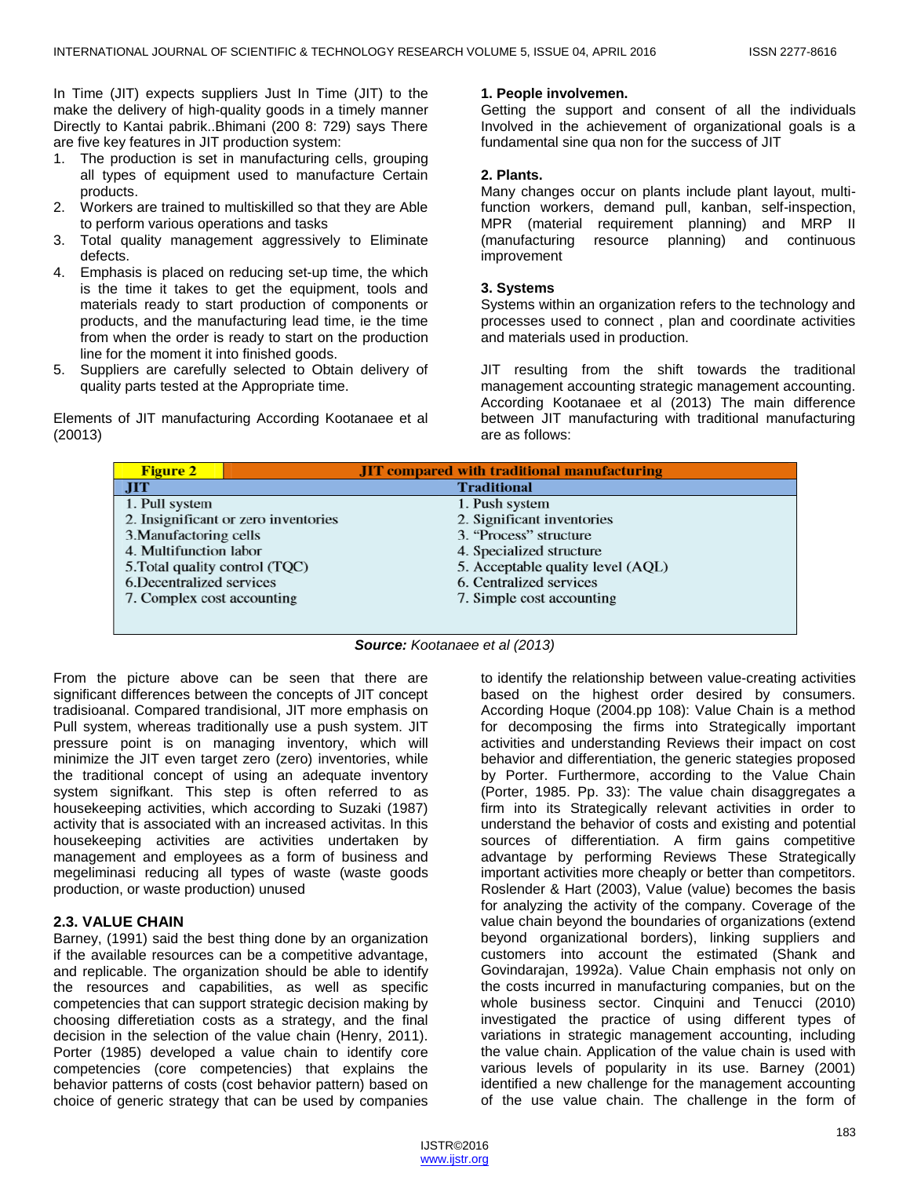In Time (JIT) expects suppliers Just In Time (JIT) to the make the delivery of high-quality goods in a timely manner Directly to Kantai pabrik..Bhimani (200 8: 729) says There are five key features in JIT production system:

- 1. The production is set in manufacturing cells, grouping all types of equipment used to manufacture Certain products.
- 2. Workers are trained to multiskilled so that they are Able to perform various operations and tasks
- 3. Total quality management aggressively to Eliminate defects.
- 4. Emphasis is placed on reducing set-up time, the which is the time it takes to get the equipment, tools and materials ready to start production of components or products, and the manufacturing lead time, ie the time from when the order is ready to start on the production line for the moment it into finished goods.
- 5. Suppliers are carefully selected to Obtain delivery of quality parts tested at the Appropriate time.

Elements of JIT manufacturing According Kootanaee et al (20013)

#### **1. People involvemen.**

Getting the support and consent of all the individuals Involved in the achievement of organizational goals is a fundamental sine qua non for the success of JIT

#### **2. Plants.**

Many changes occur on plants include plant layout, multifunction workers, demand pull, kanban, self-inspection, MPR (material requirement planning) and MRP II (manufacturing resource planning) and continuous improvement

#### **3. Systems**

Systems within an organization refers to the technology and processes used to connect , plan and coordinate activities and materials used in production.

JIT resulting from the shift towards the traditional management accounting strategic management accounting. According Kootanaee et al (2013) The main difference between JIT manufacturing with traditional manufacturing are as follows:

| <b>Figure 2</b>                      | <b>JIT</b> compared with traditional manufacturing |
|--------------------------------------|----------------------------------------------------|
| JIT                                  | <b>Traditional</b>                                 |
| 1. Pull system                       | 1. Push system                                     |
| 2. Insignificant or zero inventories | 2. Significant inventories                         |
| 3. Manufactoring cells               | 3. "Process" structure                             |
| 4. Multifunction labor               | 4. Specialized structure                           |
| 5. Total quality control (TQC)       | 5. Acceptable quality level (AQL)                  |
| 6. Decentralized services            | 6. Centralized services                            |
| 7. Complex cost accounting           | 7. Simple cost accounting                          |
|                                      |                                                    |
|                                      |                                                    |

*Source: Kootanaee et al (2013)*

From the picture above can be seen that there are significant differences between the concepts of JIT concept tradisioanal. Compared trandisional, JIT more emphasis on Pull system, whereas traditionally use a push system. JIT pressure point is on managing inventory, which will minimize the JIT even target zero (zero) inventories, while the traditional concept of using an adequate inventory system signifkant. This step is often referred to as housekeeping activities, which according to Suzaki (1987) activity that is associated with an increased activitas. In this housekeeping activities are activities undertaken by management and employees as a form of business and megeliminasi reducing all types of waste (waste goods production, or waste production) unused

#### **2.3. VALUE CHAIN**

Barney, (1991) said the best thing done by an organization if the available resources can be a competitive advantage, and replicable. The organization should be able to identify the resources and capabilities, as well as specific competencies that can support strategic decision making by choosing differetiation costs as a strategy, and the final decision in the selection of the value chain (Henry, 2011). Porter (1985) developed a value chain to identify core competencies (core competencies) that explains the behavior patterns of costs (cost behavior pattern) based on choice of generic strategy that can be used by companies

to identify the relationship between value-creating activities based on the highest order desired by consumers. According Hoque (2004.pp 108): Value Chain is a method for decomposing the firms into Strategically important activities and understanding Reviews their impact on cost behavior and differentiation, the generic stategies proposed by Porter. Furthermore, according to the Value Chain (Porter, 1985. Pp. 33): The value chain disaggregates a firm into its Strategically relevant activities in order to understand the behavior of costs and existing and potential sources of differentiation. A firm gains competitive advantage by performing Reviews These Strategically important activities more cheaply or better than competitors. Roslender & Hart (2003), Value (value) becomes the basis for analyzing the activity of the company. Coverage of the value chain beyond the boundaries of organizations (extend beyond organizational borders), linking suppliers and customers into account the estimated (Shank and Govindarajan, 1992a). Value Chain emphasis not only on the costs incurred in manufacturing companies, but on the whole business sector. Cinquini and Tenucci (2010) investigated the practice of using different types of variations in strategic management accounting, including the value chain. Application of the value chain is used with various levels of popularity in its use. Barney (2001) identified a new challenge for the management accounting of the use value chain. The challenge in the form of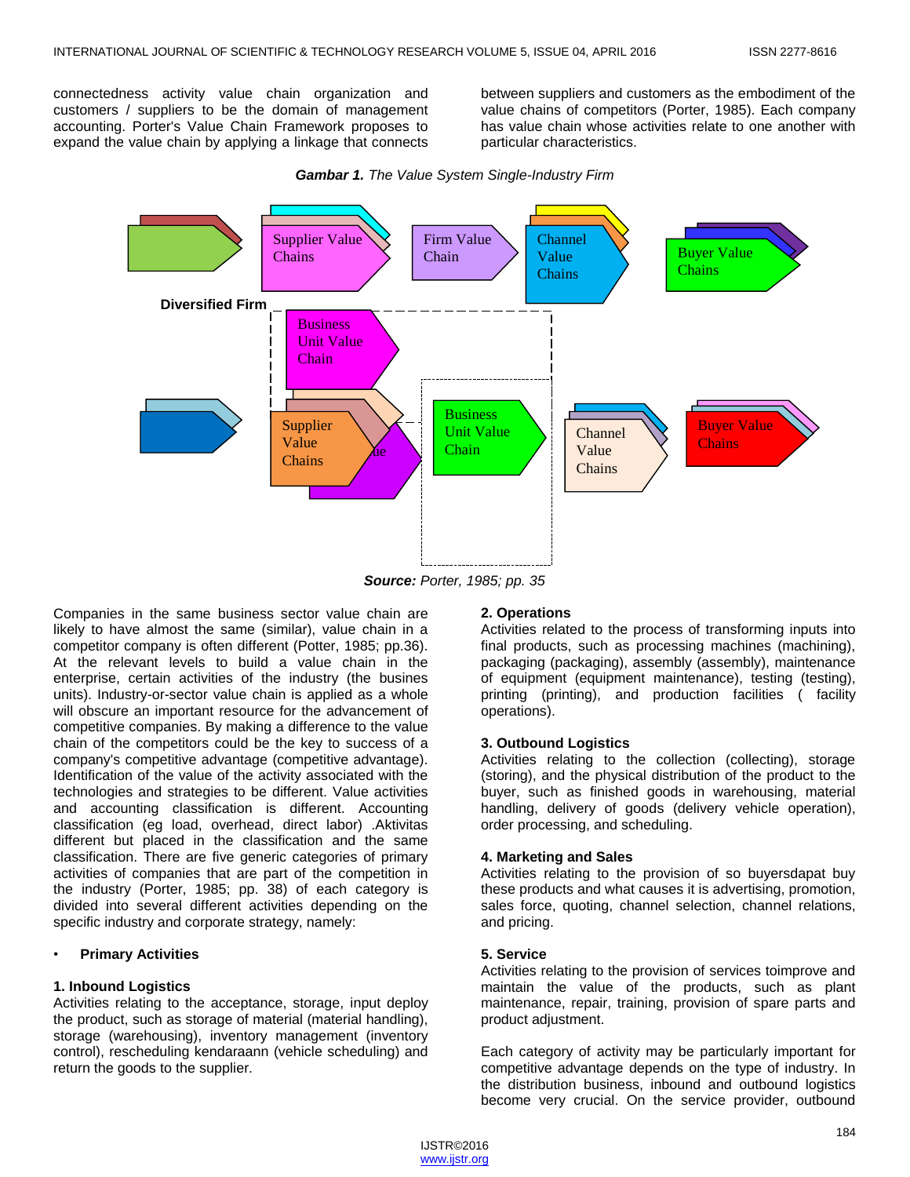connectedness activity value chain organization and customers / suppliers to be the domain of management accounting. Porter's Value Chain Framework proposes to expand the value chain by applying a linkage that connects

between suppliers and customers as the embodiment of the value chains of competitors (Porter, 1985). Each company has value chain whose activities relate to one another with particular characteristics.



*Gambar 1. The Value System Single-Industry Firm*

Companies in the same business sector value chain are likely to have almost the same (similar), value chain in a competitor company is often different (Potter, 1985; pp.36). At the relevant levels to build a value chain in the enterprise, certain activities of the industry (the busines units). Industry-or-sector value chain is applied as a whole will obscure an important resource for the advancement of competitive companies. By making a difference to the value chain of the competitors could be the key to success of a company's competitive advantage (competitive advantage). Identification of the value of the activity associated with the technologies and strategies to be different. Value activities and accounting classification is different. Accounting classification (eg load, overhead, direct labor) .Aktivitas different but placed in the classification and the same classification. There are five generic categories of primary activities of companies that are part of the competition in the industry (Porter, 1985; pp. 38) of each category is divided into several different activities depending on the specific industry and corporate strategy, namely:

#### • **Primary Activities**

#### **1. Inbound Logistics**

Activities relating to the acceptance, storage, input deploy the product, such as storage of material (material handling), storage (warehousing), inventory management (inventory control), rescheduling kendaraann (vehicle scheduling) and return the goods to the supplier.

#### **2. Operations**

Activities related to the process of transforming inputs into final products, such as processing machines (machining), packaging (packaging), assembly (assembly), maintenance of equipment (equipment maintenance), testing (testing), printing (printing), and production facilities ( facility operations).

#### **3. Outbound Logistics**

Activities relating to the collection (collecting), storage (storing), and the physical distribution of the product to the buyer, such as finished goods in warehousing, material handling, delivery of goods (delivery vehicle operation), order processing, and scheduling.

#### **4. Marketing and Sales**

Activities relating to the provision of so buyersdapat buy these products and what causes it is advertising, promotion, sales force, quoting, channel selection, channel relations, and pricing.

#### **5. Service**

Activities relating to the provision of services toimprove and maintain the value of the products, such as plant maintenance, repair, training, provision of spare parts and product adjustment.

Each category of activity may be particularly important for competitive advantage depends on the type of industry. In the distribution business, inbound and outbound logistics become very crucial. On the service provider, outbound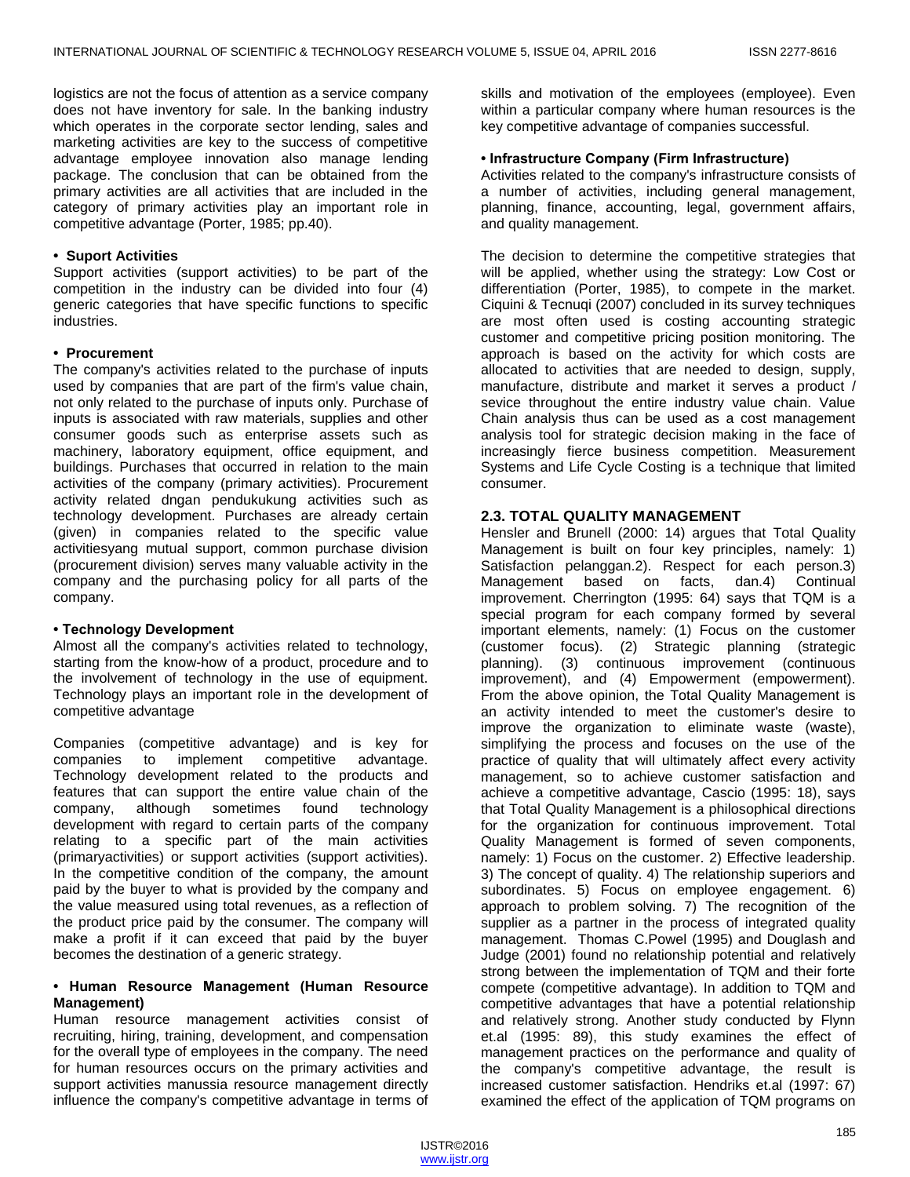logistics are not the focus of attention as a service company does not have inventory for sale. In the banking industry which operates in the corporate sector lending, sales and marketing activities are key to the success of competitive advantage employee innovation also manage lending package. The conclusion that can be obtained from the primary activities are all activities that are included in the category of primary activities play an important role in competitive advantage (Porter, 1985; pp.40).

#### **• Suport Activities**

Support activities (support activities) to be part of the competition in the industry can be divided into four (4) generic categories that have specific functions to specific industries.

#### **• Procurement**

The company's activities related to the purchase of inputs used by companies that are part of the firm's value chain, not only related to the purchase of inputs only. Purchase of inputs is associated with raw materials, supplies and other consumer goods such as enterprise assets such as machinery, laboratory equipment, office equipment, and buildings. Purchases that occurred in relation to the main activities of the company (primary activities). Procurement activity related dngan pendukukung activities such as technology development. Purchases are already certain (given) in companies related to the specific value activitiesyang mutual support, common purchase division (procurement division) serves many valuable activity in the company and the purchasing policy for all parts of the company.

#### **• Technology Development**

Almost all the company's activities related to technology, starting from the know-how of a product, procedure and to the involvement of technology in the use of equipment. Technology plays an important role in the development of competitive advantage

Companies (competitive advantage) and is key for companies to implement competitive advantage. Technology development related to the products and features that can support the entire value chain of the company, although sometimes found technology development with regard to certain parts of the company relating to a specific part of the main activities (primaryactivities) or support activities (support activities). In the competitive condition of the company, the amount paid by the buyer to what is provided by the company and the value measured using total revenues, as a reflection of the product price paid by the consumer. The company will make a profit if it can exceed that paid by the buyer becomes the destination of a generic strategy.

#### **• Human Resource Management (Human Resource Management)**

Human resource management activities consist of recruiting, hiring, training, development, and compensation for the overall type of employees in the company. The need for human resources occurs on the primary activities and support activities manussia resource management directly influence the company's competitive advantage in terms of skills and motivation of the employees (employee). Even within a particular company where human resources is the key competitive advantage of companies successful.

#### **• Infrastructure Company (Firm Infrastructure)**

Activities related to the company's infrastructure consists of a number of activities, including general management, planning, finance, accounting, legal, government affairs, and quality management.

The decision to determine the competitive strategies that will be applied, whether using the strategy: Low Cost or differentiation (Porter, 1985), to compete in the market. Ciquini & Tecnuqi (2007) concluded in its survey techniques are most often used is costing accounting strategic customer and competitive pricing position monitoring. The approach is based on the activity for which costs are allocated to activities that are needed to design, supply, manufacture, distribute and market it serves a product / sevice throughout the entire industry value chain. Value Chain analysis thus can be used as a cost management analysis tool for strategic decision making in the face of increasingly fierce business competition. Measurement Systems and Life Cycle Costing is a technique that limited consumer.

# **2.3. TOTAL QUALITY MANAGEMENT**

Hensler and Brunell (2000: 14) argues that Total Quality Management is built on four key principles, namely: 1) Satisfaction pelanggan.2). Respect for each person.3) Management based on facts, dan.4) Continual improvement. Cherrington (1995: 64) says that TQM is a special program for each company formed by several important elements, namely: (1) Focus on the customer (customer focus). (2) Strategic planning (strategic planning). (3) continuous improvement (continuous improvement), and (4) Empowerment (empowerment). From the above opinion, the Total Quality Management is an activity intended to meet the customer's desire to improve the organization to eliminate waste (waste), simplifying the process and focuses on the use of the practice of quality that will ultimately affect every activity management, so to achieve customer satisfaction and achieve a competitive advantage, Cascio (1995: 18), says that Total Quality Management is a philosophical directions for the organization for continuous improvement. Total Quality Management is formed of seven components, namely: 1) Focus on the customer. 2) Effective leadership. 3) The concept of quality. 4) The relationship superiors and subordinates. 5) Focus on employee engagement. 6) approach to problem solving. 7) The recognition of the supplier as a partner in the process of integrated quality management. Thomas C.Powel (1995) and Douglash and Judge (2001) found no relationship potential and relatively strong between the implementation of TQM and their forte compete (competitive advantage). In addition to TQM and competitive advantages that have a potential relationship and relatively strong. Another study conducted by Flynn et.al (1995: 89), this study examines the effect of management practices on the performance and quality of the company's competitive advantage, the result is increased customer satisfaction. Hendriks et.al (1997: 67) examined the effect of the application of TQM programs on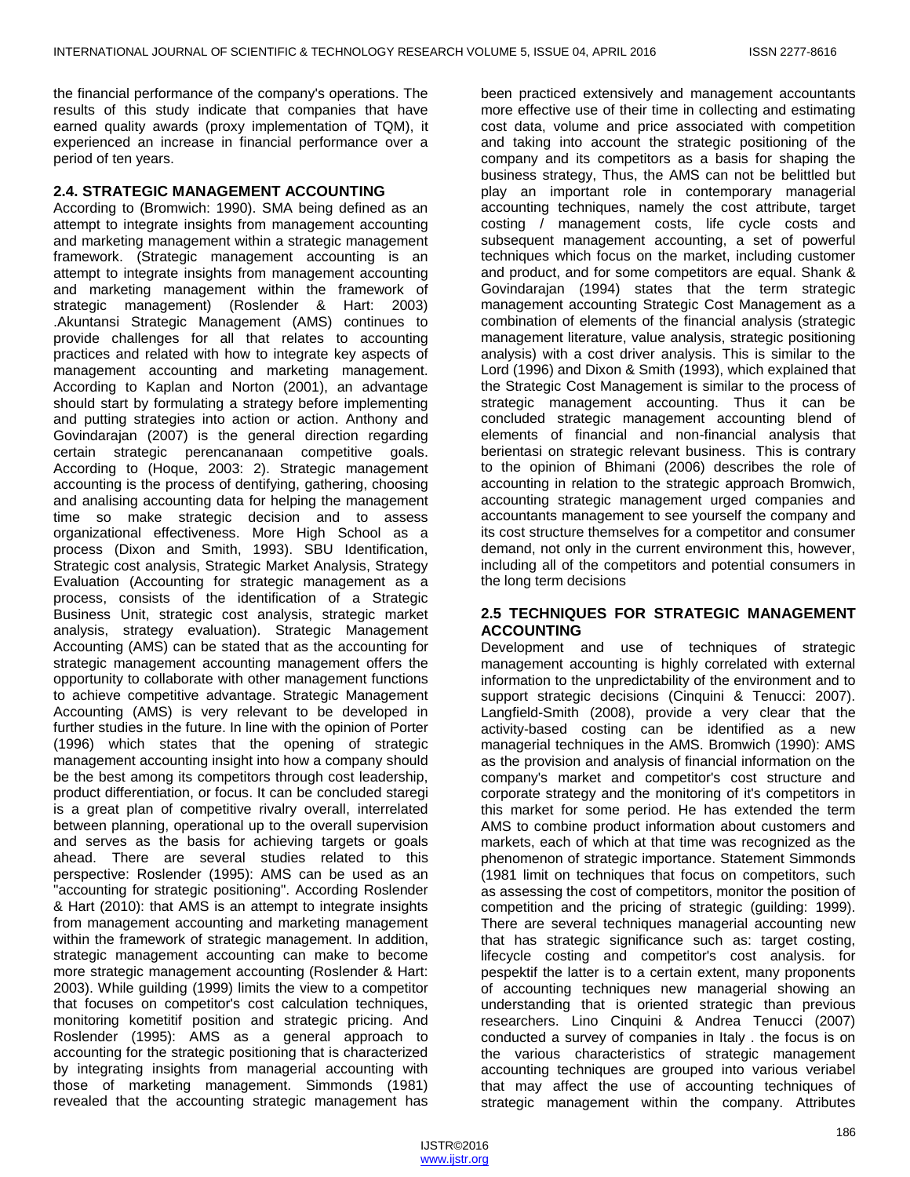the financial performance of the company's operations. The results of this study indicate that companies that have earned quality awards (proxy implementation of TQM), it experienced an increase in financial performance over a period of ten years.

#### **2.4. STRATEGIC MANAGEMENT ACCOUNTING**

According to (Bromwich: 1990). SMA being defined as an attempt to integrate insights from management accounting and marketing management within a strategic management framework. (Strategic management accounting is an attempt to integrate insights from management accounting and marketing management within the framework of strategic management) (Roslender & Hart: 2003) .Akuntansi Strategic Management (AMS) continues to provide challenges for all that relates to accounting practices and related with how to integrate key aspects of management accounting and marketing management. According to Kaplan and Norton (2001), an advantage should start by formulating a strategy before implementing and putting strategies into action or action. Anthony and Govindarajan (2007) is the general direction regarding certain strategic perencananaan competitive goals. According to (Hoque, 2003: 2). Strategic management accounting is the process of dentifying, gathering, choosing and analising accounting data for helping the management time so make strategic decision and to assess organizational effectiveness. More High School as a process (Dixon and Smith, 1993). SBU Identification, Strategic cost analysis, Strategic Market Analysis, Strategy Evaluation (Accounting for strategic management as a process, consists of the identification of a Strategic Business Unit, strategic cost analysis, strategic market analysis, strategy evaluation). Strategic Management Accounting (AMS) can be stated that as the accounting for strategic management accounting management offers the opportunity to collaborate with other management functions to achieve competitive advantage. Strategic Management Accounting (AMS) is very relevant to be developed in further studies in the future. In line with the opinion of Porter (1996) which states that the opening of strategic management accounting insight into how a company should be the best among its competitors through cost leadership, product differentiation, or focus. It can be concluded staregi is a great plan of competitive rivalry overall, interrelated between planning, operational up to the overall supervision and serves as the basis for achieving targets or goals ahead. There are several studies related to this perspective: Roslender (1995): AMS can be used as an "accounting for strategic positioning". According Roslender & Hart (2010): that AMS is an attempt to integrate insights from management accounting and marketing management within the framework of strategic management. In addition, strategic management accounting can make to become more strategic management accounting (Roslender & Hart: 2003). While guilding (1999) limits the view to a competitor that focuses on competitor's cost calculation techniques, monitoring kometitif position and strategic pricing. And Roslender (1995): AMS as a general approach to accounting for the strategic positioning that is characterized by integrating insights from managerial accounting with those of marketing management. Simmonds (1981) revealed that the accounting strategic management has

been practiced extensively and management accountants more effective use of their time in collecting and estimating cost data, volume and price associated with competition and taking into account the strategic positioning of the company and its competitors as a basis for shaping the business strategy, Thus, the AMS can not be belittled but play an important role in contemporary managerial accounting techniques, namely the cost attribute, target costing / management costs, life cycle costs and subsequent management accounting, a set of powerful techniques which focus on the market, including customer and product, and for some competitors are equal. Shank & Govindarajan (1994) states that the term strategic management accounting Strategic Cost Management as a combination of elements of the financial analysis (strategic management literature, value analysis, strategic positioning analysis) with a cost driver analysis. This is similar to the Lord (1996) and Dixon & Smith (1993), which explained that the Strategic Cost Management is similar to the process of strategic management accounting. Thus it can be concluded strategic management accounting blend of elements of financial and non-financial analysis that berientasi on strategic relevant business. This is contrary to the opinion of Bhimani (2006) describes the role of accounting in relation to the strategic approach Bromwich, accounting strategic management urged companies and accountants management to see yourself the company and its cost structure themselves for a competitor and consumer demand, not only in the current environment this, however, including all of the competitors and potential consumers in the long term decisions

#### **2.5 TECHNIQUES FOR STRATEGIC MANAGEMENT ACCOUNTING**

Development and use of techniques of strategic management accounting is highly correlated with external information to the unpredictability of the environment and to support strategic decisions (Cinquini & Tenucci: 2007). Langfield-Smith (2008), provide a very clear that the activity-based costing can be identified as a new managerial techniques in the AMS. Bromwich (1990): AMS as the provision and analysis of financial information on the company's market and competitor's cost structure and corporate strategy and the monitoring of it's competitors in this market for some period. He has extended the term AMS to combine product information about customers and markets, each of which at that time was recognized as the phenomenon of strategic importance. Statement Simmonds (1981 limit on techniques that focus on competitors, such as assessing the cost of competitors, monitor the position of competition and the pricing of strategic (guilding: 1999). There are several techniques managerial accounting new that has strategic significance such as: target costing, lifecycle costing and competitor's cost analysis. for pespektif the latter is to a certain extent, many proponents of accounting techniques new managerial showing an understanding that is oriented strategic than previous researchers. Lino Cinquini & Andrea Tenucci (2007) conducted a survey of companies in Italy . the focus is on the various characteristics of strategic management accounting techniques are grouped into various veriabel that may affect the use of accounting techniques of strategic management within the company. Attributes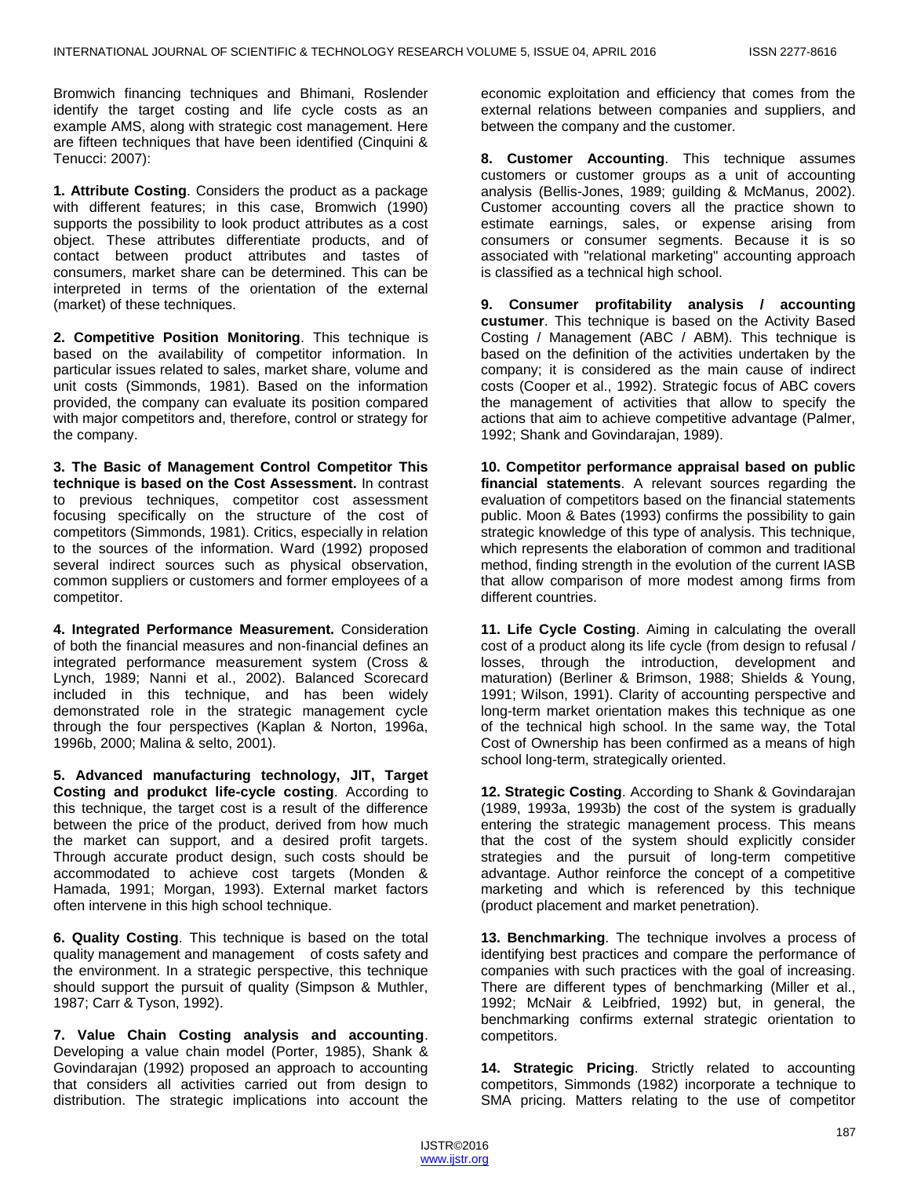Bromwich financing techniques and Bhimani, Roslender identify the target costing and life cycle costs as an example AMS, along with strategic cost management. Here are fifteen techniques that have been identified (Cinquini & Tenucci: 2007):

**1. Attribute Costing**. Considers the product as a package with different features; in this case, Bromwich (1990) supports the possibility to look product attributes as a cost object. These attributes differentiate products, and of contact between product attributes and tastes of consumers, market share can be determined. This can be interpreted in terms of the orientation of the external (market) of these techniques.

**2. Competitive Position Monitoring**. This technique is based on the availability of competitor information. In particular issues related to sales, market share, volume and unit costs (Simmonds, 1981). Based on the information provided, the company can evaluate its position compared with major competitors and, therefore, control or strategy for the company.

**3. The Basic of Management Control Competitor This technique is based on the Cost Assessment.** In contrast to previous techniques, competitor cost assessment focusing specifically on the structure of the cost of competitors (Simmonds, 1981). Critics, especially in relation to the sources of the information. Ward (1992) proposed several indirect sources such as physical observation, common suppliers or customers and former employees of a competitor.

**4. Integrated Performance Measurement.** Consideration of both the financial measures and non-financial defines an integrated performance measurement system (Cross & Lynch, 1989; Nanni et al., 2002). Balanced Scorecard included in this technique, and has been widely demonstrated role in the strategic management cycle through the four perspectives (Kaplan & Norton, 1996a, 1996b, 2000; Malina & selto, 2001).

**5. Advanced manufacturing technology, JIT, Target Costing and produkct life-cycle costing**. According to this technique, the target cost is a result of the difference between the price of the product, derived from how much the market can support, and a desired profit targets. Through accurate product design, such costs should be accommodated to achieve cost targets (Monden & Hamada, 1991; Morgan, 1993). External market factors often intervene in this high school technique.

**6. Quality Costing**. This technique is based on the total quality management and management of costs safety and the environment. In a strategic perspective, this technique should support the pursuit of quality (Simpson & Muthler, 1987; Carr & Tyson, 1992).

**7. Value Chain Costing analysis and accounting**. Developing a value chain model (Porter, 1985), Shank & Govindarajan (1992) proposed an approach to accounting that considers all activities carried out from design to distribution. The strategic implications into account the economic exploitation and efficiency that comes from the external relations between companies and suppliers, and between the company and the customer.

**8. Customer Accounting**. This technique assumes customers or customer groups as a unit of accounting analysis (Bellis-Jones, 1989; guilding & McManus, 2002). Customer accounting covers all the practice shown to estimate earnings, sales, or expense arising from consumers or consumer segments. Because it is so associated with "relational marketing" accounting approach is classified as a technical high school.

**9. Consumer profitability analysis / accounting custumer**. This technique is based on the Activity Based Costing / Management (ABC / ABM). This technique is based on the definition of the activities undertaken by the company; it is considered as the main cause of indirect costs (Cooper et al., 1992). Strategic focus of ABC covers the management of activities that allow to specify the actions that aim to achieve competitive advantage (Palmer, 1992; Shank and Govindarajan, 1989).

**10. Competitor performance appraisal based on public financial statements**. A relevant sources regarding the evaluation of competitors based on the financial statements public. Moon & Bates (1993) confirms the possibility to gain strategic knowledge of this type of analysis. This technique, which represents the elaboration of common and traditional method, finding strength in the evolution of the current IASB that allow comparison of more modest among firms from different countries.

**11. Life Cycle Costing**. Aiming in calculating the overall cost of a product along its life cycle (from design to refusal / losses, through the introduction, development and maturation) (Berliner & Brimson, 1988; Shields & Young, 1991; Wilson, 1991). Clarity of accounting perspective and long-term market orientation makes this technique as one of the technical high school. In the same way, the Total Cost of Ownership has been confirmed as a means of high school long-term, strategically oriented.

**12. Strategic Costing**. According to Shank & Govindarajan (1989, 1993a, 1993b) the cost of the system is gradually entering the strategic management process. This means that the cost of the system should explicitly consider strategies and the pursuit of long-term competitive advantage. Author reinforce the concept of a competitive marketing and which is referenced by this technique (product placement and market penetration).

**13. Benchmarking**. The technique involves a process of identifying best practices and compare the performance of companies with such practices with the goal of increasing. There are different types of benchmarking (Miller et al., 1992; McNair & Leibfried, 1992) but, in general, the benchmarking confirms external strategic orientation to competitors.

**14. Strategic Pricing**. Strictly related to accounting competitors, Simmonds (1982) incorporate a technique to SMA pricing. Matters relating to the use of competitor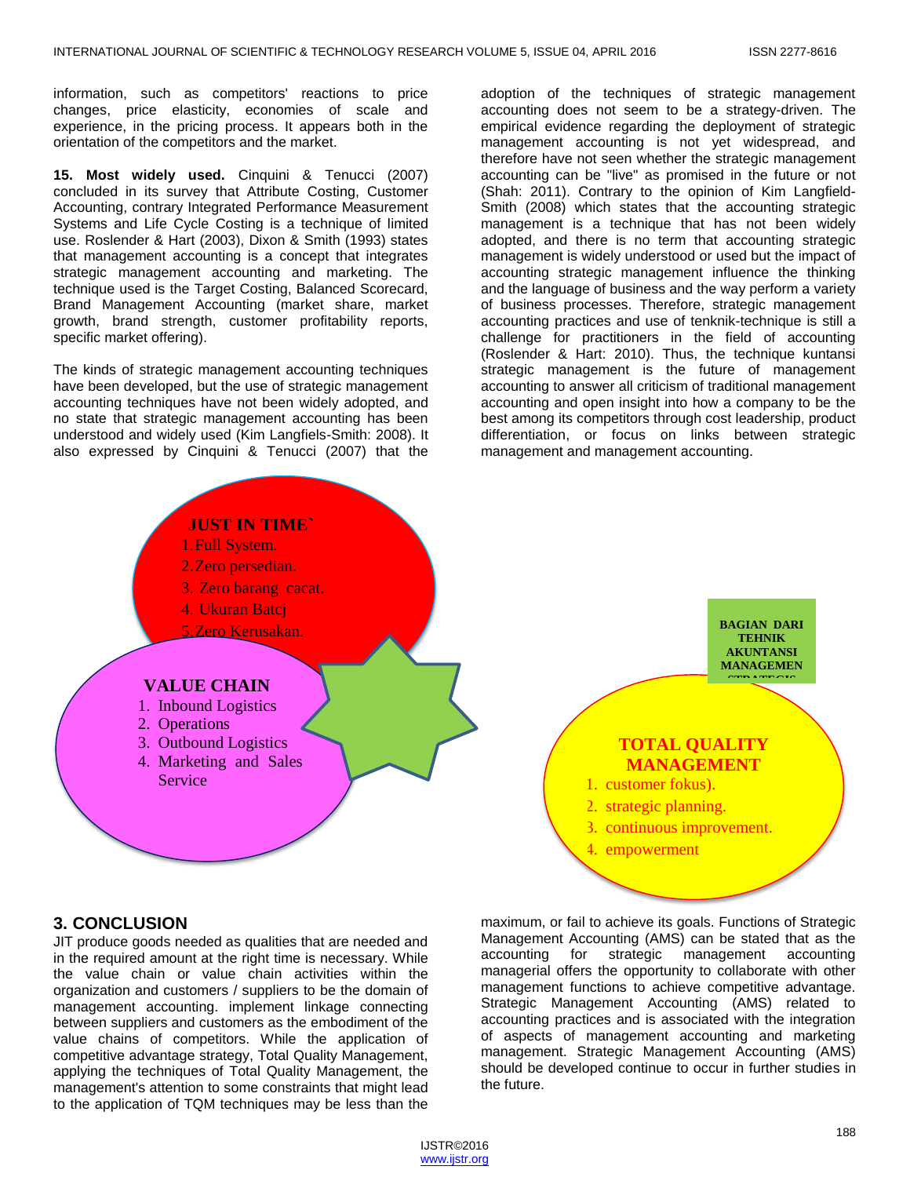information, such as competitors' reactions to price changes, price elasticity, economies of scale and experience, in the pricing process. It appears both in the orientation of the competitors and the market.

**15. Most widely used.** Cinquini & Tenucci (2007) concluded in its survey that Attribute Costing, Customer Accounting, contrary Integrated Performance Measurement Systems and Life Cycle Costing is a technique of limited use. Roslender & Hart (2003), Dixon & Smith (1993) states that management accounting is a concept that integrates strategic management accounting and marketing. The technique used is the Target Costing, Balanced Scorecard, Brand Management Accounting (market share, market growth, brand strength, customer profitability reports, specific market offering).

The kinds of strategic management accounting techniques have been developed, but the use of strategic management accounting techniques have not been widely adopted, and no state that strategic management accounting has been understood and widely used (Kim Langfiels-Smith: 2008). It also expressed by Cinquini & Tenucci (2007) that the

adoption of the techniques of strategic management accounting does not seem to be a strategy-driven. The empirical evidence regarding the deployment of strategic management accounting is not yet widespread, and therefore have not seen whether the strategic management accounting can be "live" as promised in the future or not (Shah: 2011). Contrary to the opinion of Kim Langfield-Smith (2008) which states that the accounting strategic management is a technique that has not been widely adopted, and there is no term that accounting strategic management is widely understood or used but the impact of accounting strategic management influence the thinking and the language of business and the way perform a variety of business processes. Therefore, strategic management accounting practices and use of tenknik-technique is still a challenge for practitioners in the field of accounting (Roslender & Hart: 2010). Thus, the technique kuntansi strategic management is the future of management accounting to answer all criticism of traditional management accounting and open insight into how a company to be the best among its competitors through cost leadership, product differentiation, or focus on links between strategic management and management accounting.



**BAGIAN DARI TEHNIK AKUNTANSI MANAGEMEN STRATEGIS** 

# **TOTAL QUALITY MANAGEMENT**

- 1. customer fokus).
- 2. strategic planning.
- 3. continuous improvement.
- 4. empowerment

# **3. CONCLUSION**

JIT produce goods needed as qualities that are needed and in the required amount at the right time is necessary. While the value chain or value chain activities within the organization and customers / suppliers to be the domain of management accounting. implement linkage connecting between suppliers and customers as the embodiment of the value chains of competitors. While the application of competitive advantage strategy, Total Quality Management, applying the techniques of Total Quality Management, the management's attention to some constraints that might lead to the application of TQM techniques may be less than the

maximum, or fail to achieve its goals. Functions of Strategic Management Accounting (AMS) can be stated that as the accounting for strategic management accounting managerial offers the opportunity to collaborate with other management functions to achieve competitive advantage. Strategic Management Accounting (AMS) related to accounting practices and is associated with the integration of aspects of management accounting and marketing management. Strategic Management Accounting (AMS) should be developed continue to occur in further studies in the future.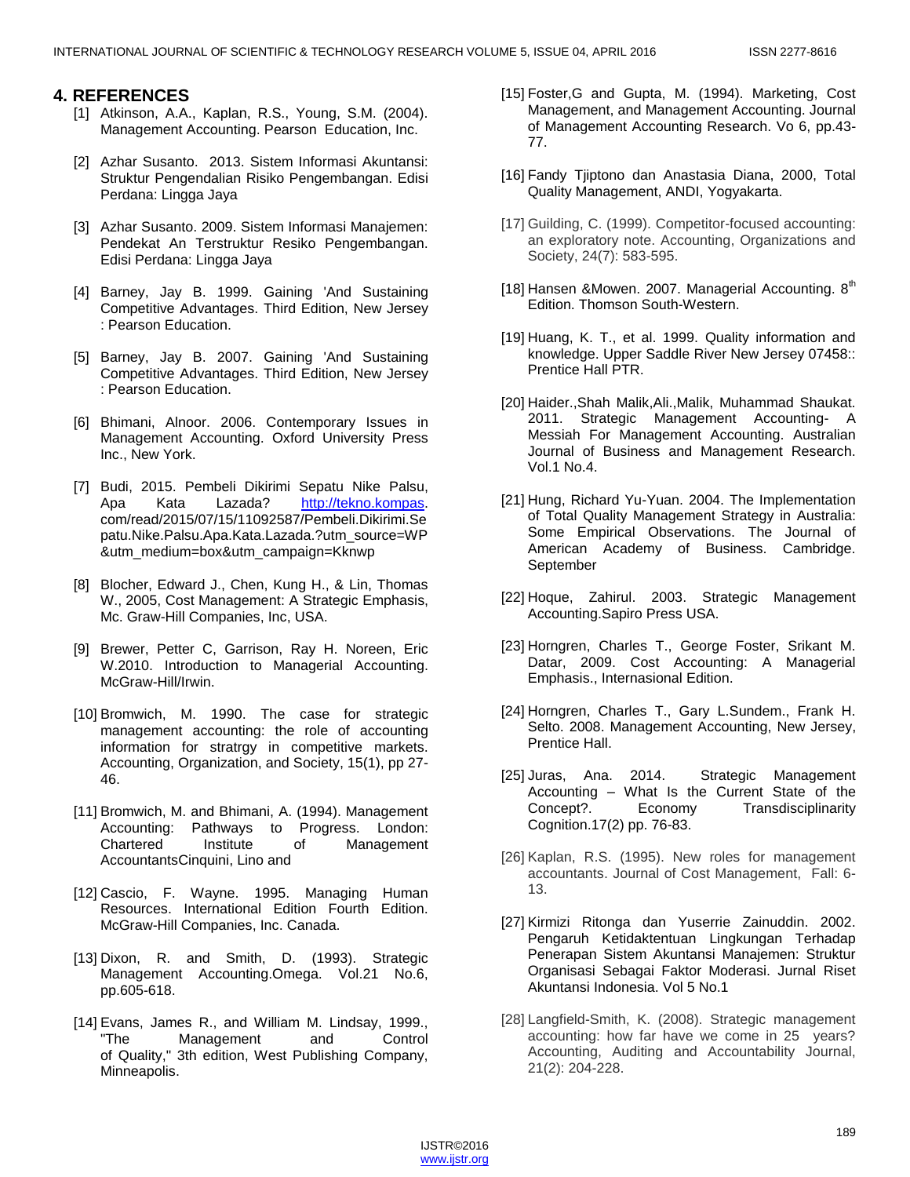### **4. REFERENCES**

- [1] Atkinson, A.A., Kaplan, R.S., Young, S.M. (2004). Management Accounting. Pearson Education, Inc.
- [2] Azhar Susanto. 2013. Sistem Informasi Akuntansi: Struktur Pengendalian Risiko Pengembangan. Edisi Perdana: Lingga Jaya
- [3] Azhar Susanto. 2009. Sistem Informasi Manajemen: Pendekat An Terstruktur Resiko Pengembangan. Edisi Perdana: Lingga Jaya
- [4] Barney, Jay B. 1999. Gaining 'And Sustaining Competitive Advantages. Third Edition, New Jersey : Pearson Education.
- [5] Barney, Jay B. 2007. Gaining 'And Sustaining Competitive Advantages. Third Edition, New Jersey : Pearson Education.
- [6] Bhimani, Alnoor. 2006. Contemporary Issues in Management Accounting. Oxford University Press Inc., New York.
- [7] Budi, 2015. Pembeli Dikirimi Sepatu Nike Palsu, Apa Kata Lazada? [http://tekno.kompas.](http://tekno.kompas/) com/read/2015/07/15/11092587/Pembeli.Dikirimi.Se patu.Nike.Palsu.Apa.Kata.Lazada.?utm\_source=WP &utm\_medium=box&utm\_campaign=Kknwp
- [8] Blocher, Edward J., Chen, Kung H., & Lin, Thomas W., 2005, Cost Management: A Strategic Emphasis, Mc. Graw-Hill Companies, Inc, USA.
- [9] Brewer, Petter C, Garrison, Ray H. Noreen, Eric W.2010. Introduction to Managerial Accounting. McGraw-Hill/Irwin.
- [10] Bromwich, M. 1990. The case for strategic management accounting: the role of accounting information for stratrgy in competitive markets. Accounting, Organization, and Society, 15(1), pp 27- 46.
- [11] Bromwich, M. and Bhimani, A. (1994). Management Accounting: Pathways to Progress. London: Chartered Institute of Management AccountantsCinquini, Lino and
- [12] Cascio, F. Wayne. 1995. Managing Human Resources. International Edition Fourth Edition. McGraw-Hill Companies, Inc. Canada.
- [13] Dixon, R. and Smith, D. (1993). Strategic Management Accounting.Omega. Vol.21 No.6, pp.605-618.
- [14] Evans, James R., and William M. Lindsay, 1999., "The Management and Control of Quality," 3th edition, West Publishing Company, Minneapolis.
- [15] Foster,G and Gupta, M. (1994). Marketing, Cost Management, and Management Accounting. Journal of Management Accounting Research. Vo 6, pp.43- 77.
- [16] Fandy Tjiptono dan Anastasia Diana, 2000, Total Quality Management, ANDI, Yogyakarta.
- [17] Guilding, C. (1999). Competitor-focused accounting: an exploratory note. Accounting, Organizations and Society, 24(7): 583-595.
- [18] Hansen & Mowen. 2007. Managerial Accounting.  $8<sup>th</sup>$ Edition. Thomson South-Western.
- [19] Huang, K. T., et al. 1999. Quality information and knowledge. Upper Saddle River New Jersey 07458:: Prentice Hall PTR.
- [20] Haider.,Shah Malik,Ali.,Malik, Muhammad Shaukat. 2011. Strategic Management Accounting- A Messiah For Management Accounting. Australian Journal of Business and Management Research. Vol.1 No.4.
- [21] Hung, Richard Yu-Yuan. 2004. The Implementation of Total Quality Management Strategy in Australia: Some Empirical Observations. The Journal of American Academy of Business. Cambridge. September
- [22] Hoque, Zahirul. 2003. Strategic Management Accounting.Sapiro Press USA.
- [23] Horngren, Charles T., George Foster, Srikant M. Datar, 2009. Cost Accounting: A Managerial Emphasis., Internasional Edition.
- [24] Horngren, Charles T., Gary L.Sundem., Frank H. Selto. 2008. Management Accounting, New Jersey, Prentice Hall.
- [25] Juras, Ana. 2014. Strategic Management Accounting – What Is the Current State of the Concept?. Economy Transdisciplinarity Cognition.17(2) pp. 76-83.
- [26] Kaplan, R.S. (1995). New roles for management accountants. Journal of Cost Management, Fall: 6- 13.
- [27] Kirmizi Ritonga dan Yuserrie Zainuddin. 2002. Pengaruh Ketidaktentuan Lingkungan Terhadap Penerapan Sistem Akuntansi Manajemen: Struktur Organisasi Sebagai Faktor Moderasi. Jurnal Riset Akuntansi Indonesia. Vol 5 No.1
- [28] Langfield-Smith, K. (2008). Strategic management accounting: how far have we come in 25 years? Accounting, Auditing and Accountability Journal, 21(2): 204-228.

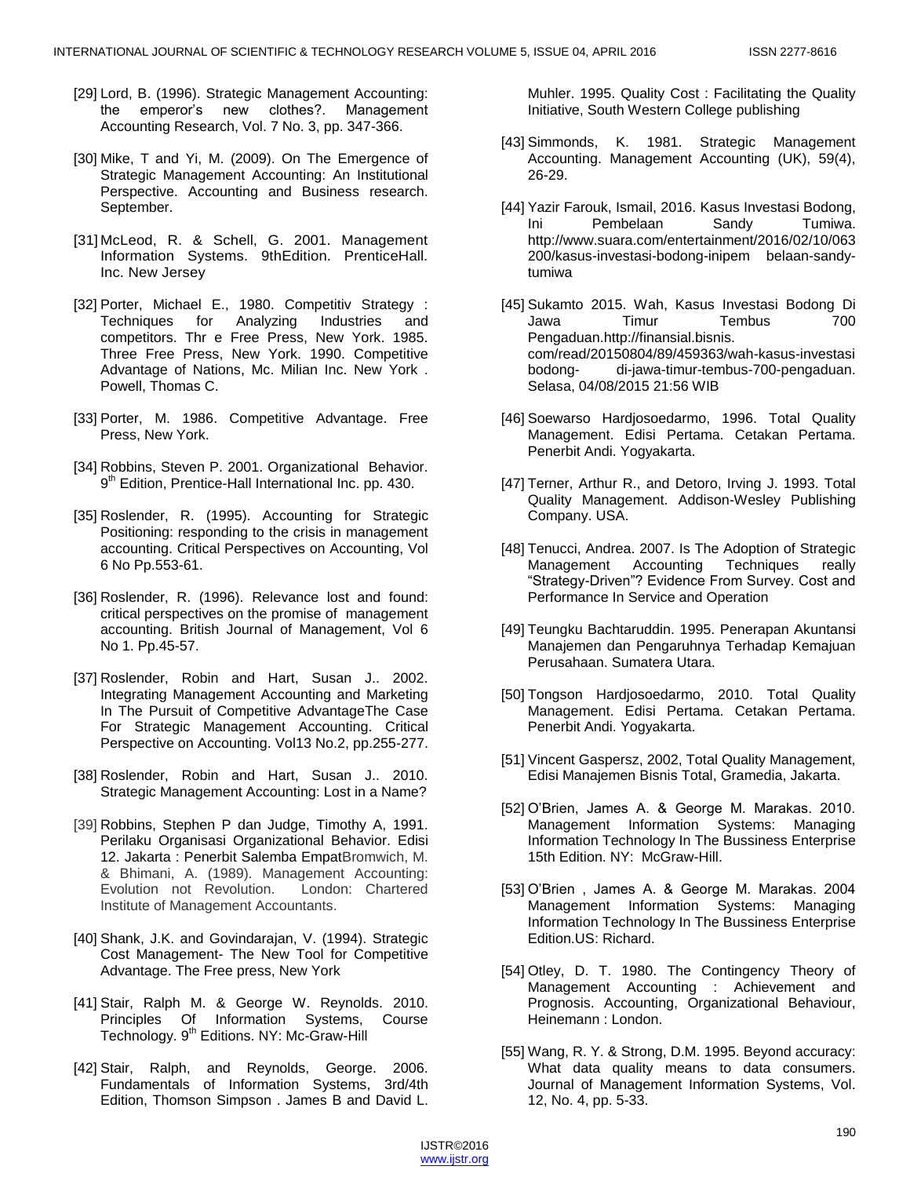- [29] Lord, B. (1996). Strategic Management Accounting: the emperor's new clothes?. Management Accounting Research, Vol. 7 No. 3, pp. 347-366.
- [30] Mike, T and Yi, M. (2009). On The Emergence of Strategic Management Accounting: An Institutional Perspective. Accounting and Business research. September.
- [31] McLeod, R. & Schell, G. 2001. Management Information Systems. 9thEdition. PrenticeHall. Inc. New Jersey
- [32] Porter, Michael E., 1980. Competitiv Strategy : Techniques for Analyzing Industries and competitors. Thr e Free Press, New York. 1985. Three Free Press, New York. 1990. Competitive Advantage of Nations, Mc. Milian Inc. New York . Powell, Thomas C.
- [33] Porter, M. 1986. Competitive Advantage. Free Press, New York.
- [34] Robbins, Steven P. 2001. Organizational Behavior. 9<sup>th</sup> Edition, Prentice-Hall International Inc. pp. 430.
- [35] Roslender, R. (1995). Accounting for Strategic Positioning: responding to the crisis in management accounting. Critical Perspectives on Accounting, Vol 6 No Pp.553-61.
- [36] Roslender, R. (1996). Relevance lost and found: critical perspectives on the promise of management accounting. British Journal of Management, Vol 6 No 1. Pp.45-57.
- [37] Roslender, Robin and Hart, Susan J.. 2002. Integrating Management Accounting and Marketing In The Pursuit of Competitive AdvantageThe Case For Strategic Management Accounting. Critical Perspective on Accounting. Vol13 No.2, pp.255-277.
- [38] Roslender, Robin and Hart, Susan J.. 2010. Strategic Management Accounting: Lost in a Name?
- [39] Robbins, Stephen P dan Judge, Timothy A, 1991. Perilaku Organisasi Organizational Behavior. Edisi 12. Jakarta : Penerbit Salemba EmpatBromwich, M. & Bhimani, A. (1989). Management Accounting: Evolution not Revolution. London: Chartered Institute of Management Accountants.
- [40] Shank, J.K. and Govindarajan, V. (1994). Strategic Cost Management- The New Tool for Competitive Advantage. The Free press, New York
- [41] Stair, Ralph M. & George W. Reynolds. 2010. Principles Of Information Systems, Course Technology. 9<sup>th</sup> Editions. NY: Mc-Graw-Hill
- [42] Stair, Ralph, and Reynolds, George. 2006. Fundamentals of Information Systems, 3rd/4th Edition, Thomson Simpson . James B and David L.

Muhler. 1995. Quality Cost : Facilitating the Quality Initiative, South Western College publishing

- [43] Simmonds, K. 1981. Strategic Management Accounting. Management Accounting (UK), 59(4), 26-29.
- [44] Yazir Farouk, Ismail, 2016. Kasus Investasi Bodong, Ini Pembelaan Sandy Tumiwa. http://www.suara.com/entertainment/2016/02/10/063 200/kasus-investasi-bodong-inipem belaan-sandytumiwa
- [45] Sukamto 2015. Wah, Kasus Investasi Bodong Di Jawa Timur Tembus 700 Pengaduan.http://finansial.bisnis. com/read/20150804/89/459363/wah-kasus-investasi di-jawa-timur-tembus-700-pengaduan. Selasa, 04/08/2015 21:56 WIB
- [46] Soewarso Hardjosoedarmo, 1996. Total Quality Management. Edisi Pertama. Cetakan Pertama. Penerbit Andi. Yogyakarta.
- [47] Terner, Arthur R., and Detoro, Irving J. 1993. Total Quality Management. Addison-Wesley Publishing Company. USA.
- [48] Tenucci, Andrea. 2007. Is The Adoption of Strategic Management Accounting Techniques really ―Strategy-Driven‖? Evidence From Survey. Cost and Performance In Service and Operation
- [49] Teungku Bachtaruddin. 1995. Penerapan Akuntansi Manajemen dan Pengaruhnya Terhadap Kemajuan Perusahaan. Sumatera Utara.
- [50] Tongson Hardjosoedarmo, 2010. Total Quality Management. Edisi Pertama. Cetakan Pertama. Penerbit Andi. Yogyakarta.
- [51] Vincent Gaspersz, 2002, Total Quality Management, Edisi Manajemen Bisnis Total, Gramedia, Jakarta.
- [52] O'Brien, James A. & George M. Marakas. 2010. Management Information Systems: Managing Information Technology In The Bussiness Enterprise 15th Edition. NY: McGraw-Hill.
- [53] O'Brien , James A. & George M. Marakas. 2004 Management Information Systems: Managing Information Technology In The Bussiness Enterprise Edition.US: Richard.
- [54] Otley, D. T. 1980. The Contingency Theory of Management Accounting : Achievement and Prognosis. Accounting, Organizational Behaviour, Heinemann : London.
- [55] Wang, R. Y. & Strong, D.M. 1995. Beyond accuracy: What data quality means to data consumers. Journal of Management Information Systems, Vol. 12, No. 4, pp. 5-33.